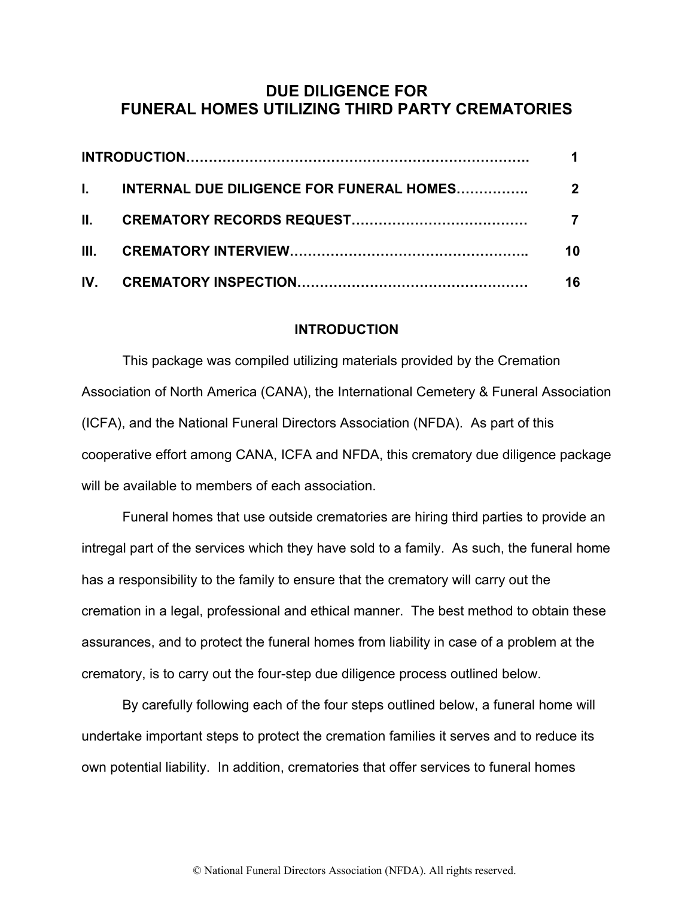## **DUE DILIGENCE FOR FUNERAL HOMES UTILIZING THIRD PARTY CREMATORIES**

|  | 10 |
|--|----|
|  | 16 |

#### **INTRODUCTION**

This package was compiled utilizing materials provided by the Cremation Association of North America (CANA), the International Cemetery & Funeral Association (ICFA), and the National Funeral Directors Association (NFDA). As part of this cooperative effort among CANA, ICFA and NFDA, this crematory due diligence package will be available to members of each association.

Funeral homes that use outside crematories are hiring third parties to provide an intregal part of the services which they have sold to a family. As such, the funeral home has a responsibility to the family to ensure that the crematory will carry out the cremation in a legal, professional and ethical manner. The best method to obtain these assurances, and to protect the funeral homes from liability in case of a problem at the crematory, is to carry out the four-step due diligence process outlined below.

By carefully following each of the four steps outlined below, a funeral home will undertake important steps to protect the cremation families it serves and to reduce its own potential liability. In addition, crematories that offer services to funeral homes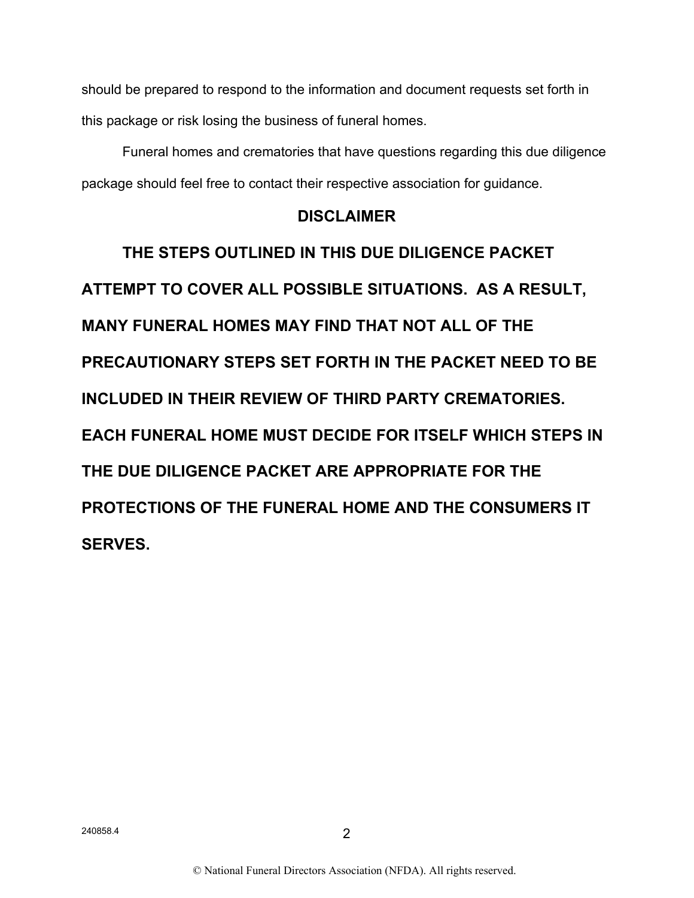should be prepared to respond to the information and document requests set forth in this package or risk losing the business of funeral homes.

Funeral homes and crematories that have questions regarding this due diligence package should feel free to contact their respective association for guidance.

## **DISCLAIMER**

**THE STEPS OUTLINED IN THIS DUE DILIGENCE PACKET ATTEMPT TO COVER ALL POSSIBLE SITUATIONS. AS A RESULT, MANY FUNERAL HOMES MAY FIND THAT NOT ALL OF THE PRECAUTIONARY STEPS SET FORTH IN THE PACKET NEED TO BE INCLUDED IN THEIR REVIEW OF THIRD PARTY CREMATORIES. EACH FUNERAL HOME MUST DECIDE FOR ITSELF WHICH STEPS IN THE DUE DILIGENCE PACKET ARE APPROPRIATE FOR THE PROTECTIONS OF THE FUNERAL HOME AND THE CONSUMERS IT SERVES.**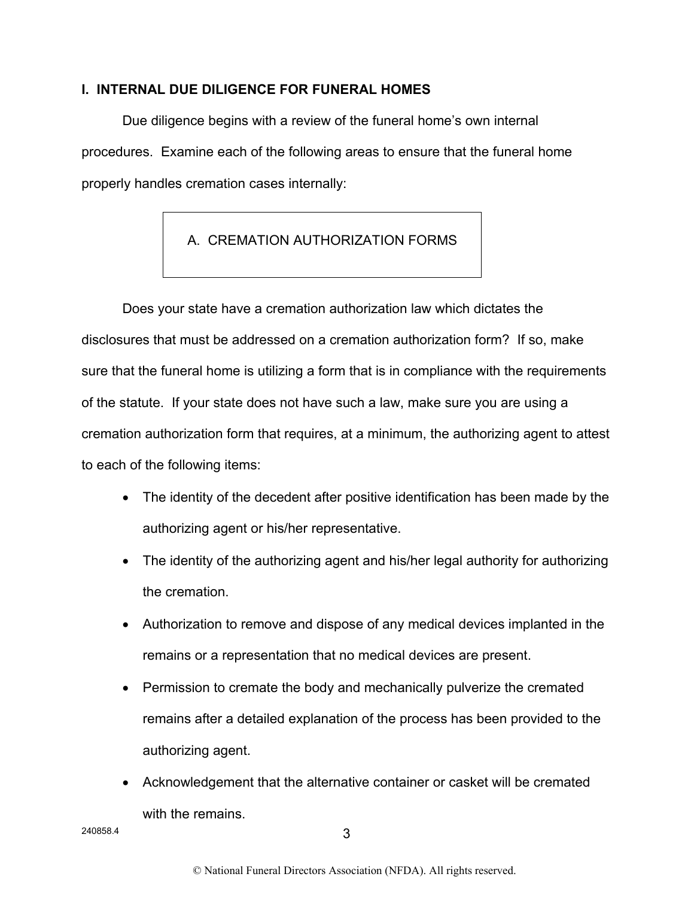### **I. INTERNAL DUE DILIGENCE FOR FUNERAL HOMES**

Due diligence begins with a review of the funeral home's own internal procedures. Examine each of the following areas to ensure that the funeral home properly handles cremation cases internally:

# A. CREMATION AUTHORIZATION FORMS

Does your state have a cremation authorization law which dictates the disclosures that must be addressed on a cremation authorization form? If so, make sure that the funeral home is utilizing a form that is in compliance with the requirements of the statute. If your state does not have such a law, make sure you are using a cremation authorization form that requires, at a minimum, the authorizing agent to attest to each of the following items:

- The identity of the decedent after positive identification has been made by the authorizing agent or his/her representative.
- The identity of the authorizing agent and his/her legal authority for authorizing the cremation.
- Authorization to remove and dispose of any medical devices implanted in the remains or a representation that no medical devices are present.
- Permission to cremate the body and mechanically pulverize the cremated remains after a detailed explanation of the process has been provided to the authorizing agent.
- Acknowledgement that the alternative container or casket will be cremated with the remains.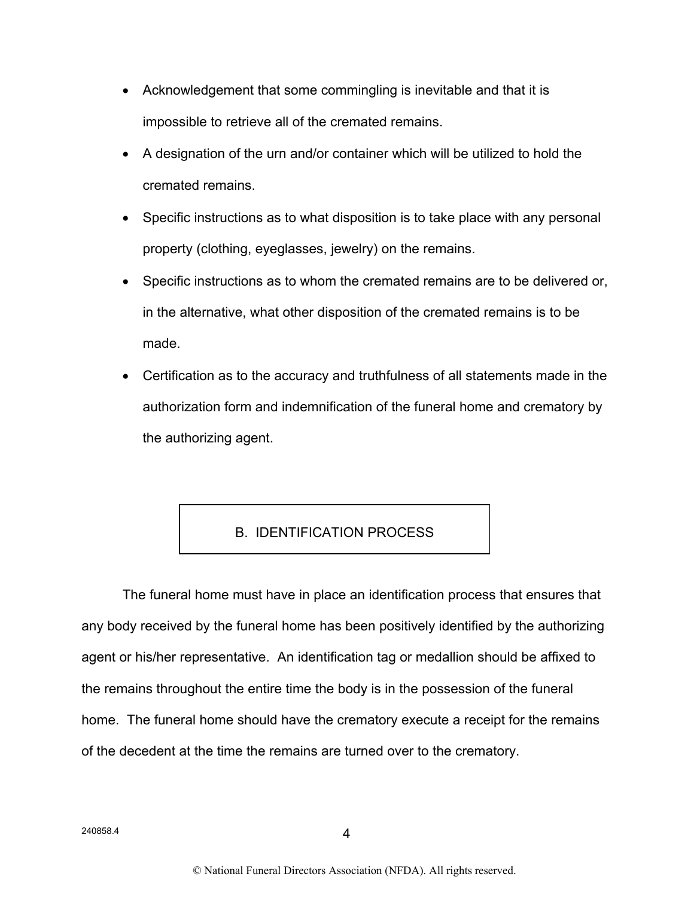- Acknowledgement that some commingling is inevitable and that it is impossible to retrieve all of the cremated remains.
- A designation of the urn and/or container which will be utilized to hold the cremated remains.
- Specific instructions as to what disposition is to take place with any personal property (clothing, eyeglasses, jewelry) on the remains.
- Specific instructions as to whom the cremated remains are to be delivered or, in the alternative, what other disposition of the cremated remains is to be made.
- Certification as to the accuracy and truthfulness of all statements made in the authorization form and indemnification of the funeral home and crematory by the authorizing agent.

## B. IDENTIFICATION PROCESS

The funeral home must have in place an identification process that ensures that any body received by the funeral home has been positively identified by the authorizing agent or his/her representative. An identification tag or medallion should be affixed to the remains throughout the entire time the body is in the possession of the funeral home. The funeral home should have the crematory execute a receipt for the remains of the decedent at the time the remains are turned over to the crematory.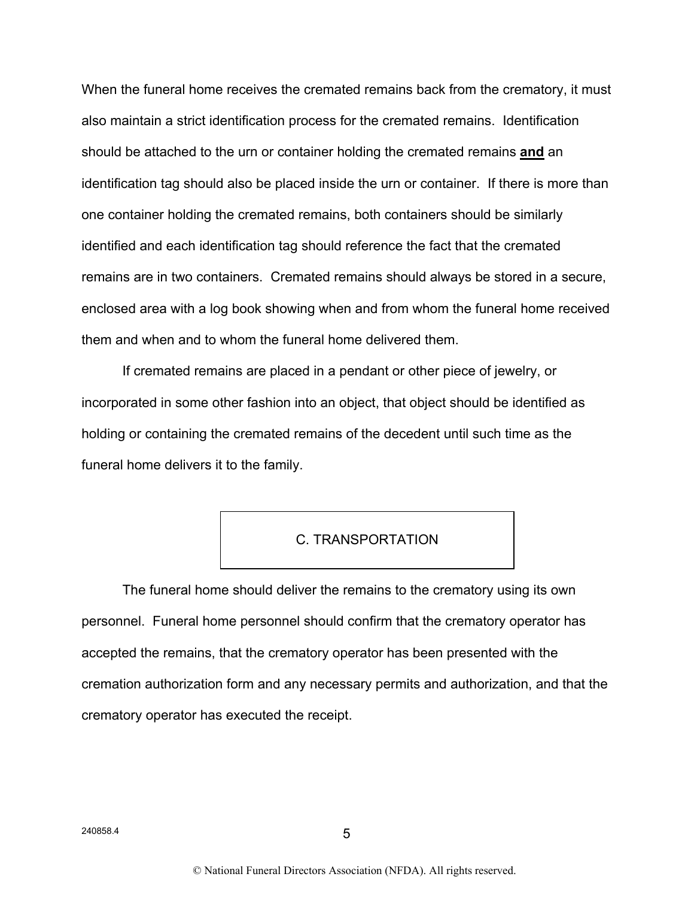When the funeral home receives the cremated remains back from the crematory, it must also maintain a strict identification process for the cremated remains. Identification should be attached to the urn or container holding the cremated remains **and** an identification tag should also be placed inside the urn or container. If there is more than one container holding the cremated remains, both containers should be similarly identified and each identification tag should reference the fact that the cremated remains are in two containers. Cremated remains should always be stored in a secure, enclosed area with a log book showing when and from whom the funeral home received them and when and to whom the funeral home delivered them.

If cremated remains are placed in a pendant or other piece of jewelry, or incorporated in some other fashion into an object, that object should be identified as holding or containing the cremated remains of the decedent until such time as the funeral home delivers it to the family.

### C. TRANSPORTATION

The funeral home should deliver the remains to the crematory using its own personnel. Funeral home personnel should confirm that the crematory operator has accepted the remains, that the crematory operator has been presented with the cremation authorization form and any necessary permits and authorization, and that the crematory operator has executed the receipt.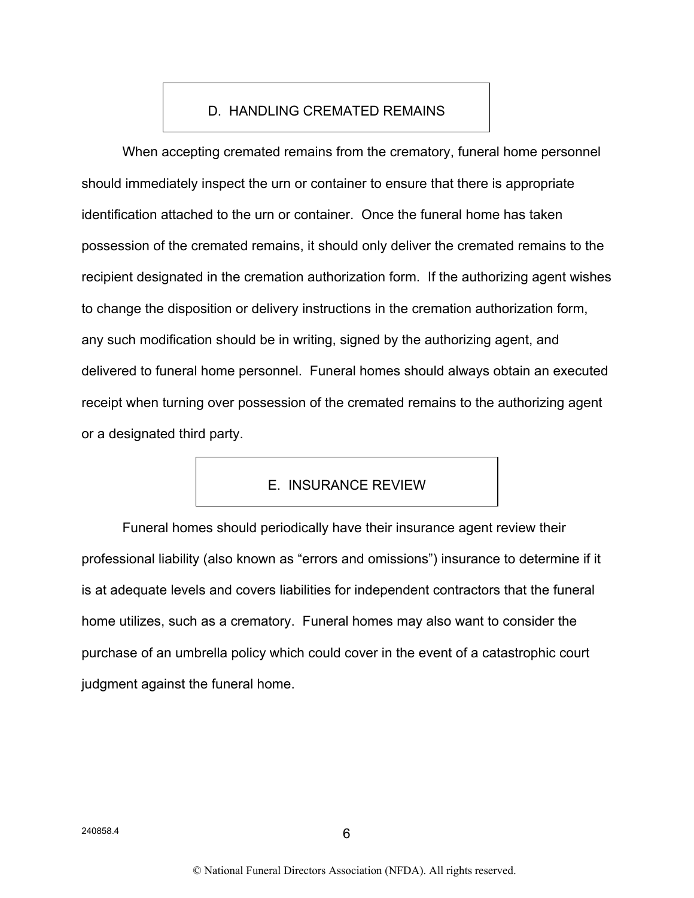## D. HANDLING CREMATED REMAINS

When accepting cremated remains from the crematory, funeral home personnel should immediately inspect the urn or container to ensure that there is appropriate identification attached to the urn or container. Once the funeral home has taken possession of the cremated remains, it should only deliver the cremated remains to the recipient designated in the cremation authorization form. If the authorizing agent wishes to change the disposition or delivery instructions in the cremation authorization form, any such modification should be in writing, signed by the authorizing agent, and delivered to funeral home personnel. Funeral homes should always obtain an executed receipt when turning over possession of the cremated remains to the authorizing agent or a designated third party.

## E. INSURANCE REVIEW

Funeral homes should periodically have their insurance agent review their professional liability (also known as "errors and omissions") insurance to determine if it is at adequate levels and covers liabilities for independent contractors that the funeral home utilizes, such as a crematory. Funeral homes may also want to consider the purchase of an umbrella policy which could cover in the event of a catastrophic court judgment against the funeral home.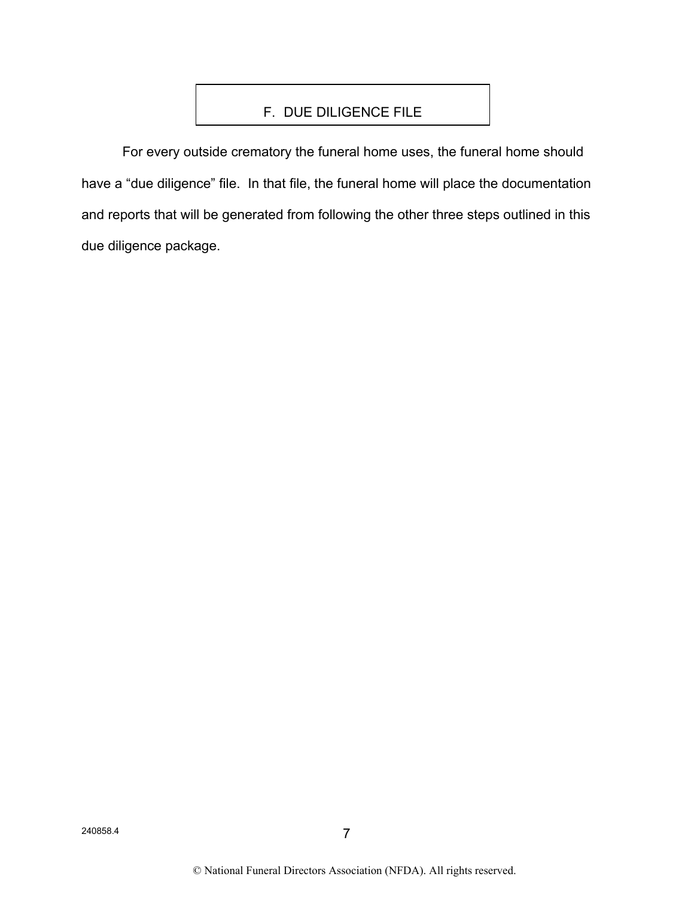## F. DUE DILIGENCE FILE

For every outside crematory the funeral home uses, the funeral home should have a "due diligence" file. In that file, the funeral home will place the documentation and reports that will be generated from following the other three steps outlined in this due diligence package.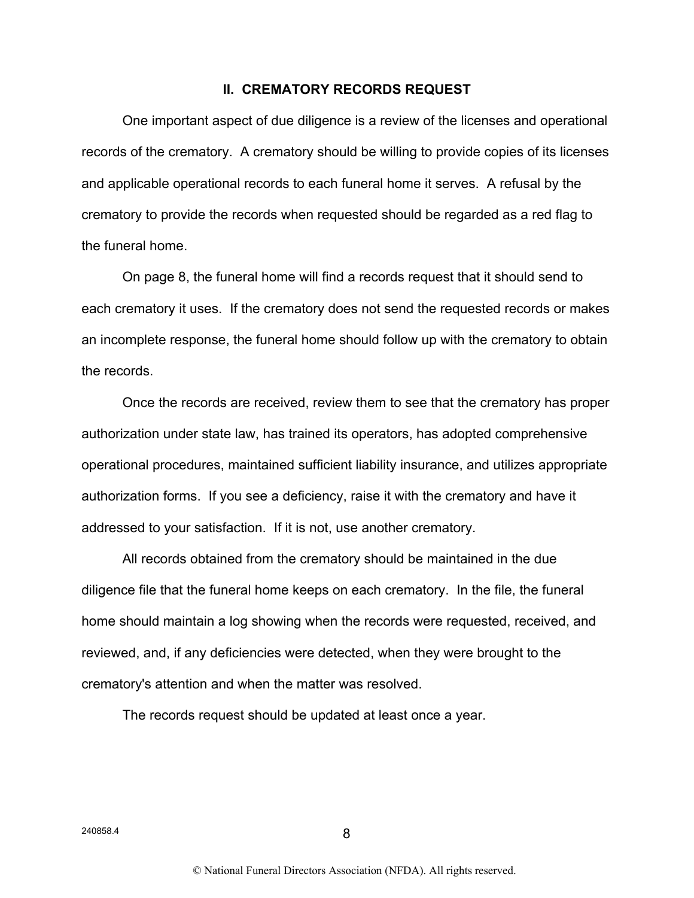#### **II. CREMATORY RECORDS REQUEST**

One important aspect of due diligence is a review of the licenses and operational records of the crematory. A crematory should be willing to provide copies of its licenses and applicable operational records to each funeral home it serves. A refusal by the crematory to provide the records when requested should be regarded as a red flag to the funeral home.

On page 8, the funeral home will find a records request that it should send to each crematory it uses. If the crematory does not send the requested records or makes an incomplete response, the funeral home should follow up with the crematory to obtain the records.

Once the records are received, review them to see that the crematory has proper authorization under state law, has trained its operators, has adopted comprehensive operational procedures, maintained sufficient liability insurance, and utilizes appropriate authorization forms. If you see a deficiency, raise it with the crematory and have it addressed to your satisfaction. If it is not, use another crematory.

All records obtained from the crematory should be maintained in the due diligence file that the funeral home keeps on each crematory. In the file, the funeral home should maintain a log showing when the records were requested, received, and reviewed, and, if any deficiencies were detected, when they were brought to the crematory's attention and when the matter was resolved.

The records request should be updated at least once a year.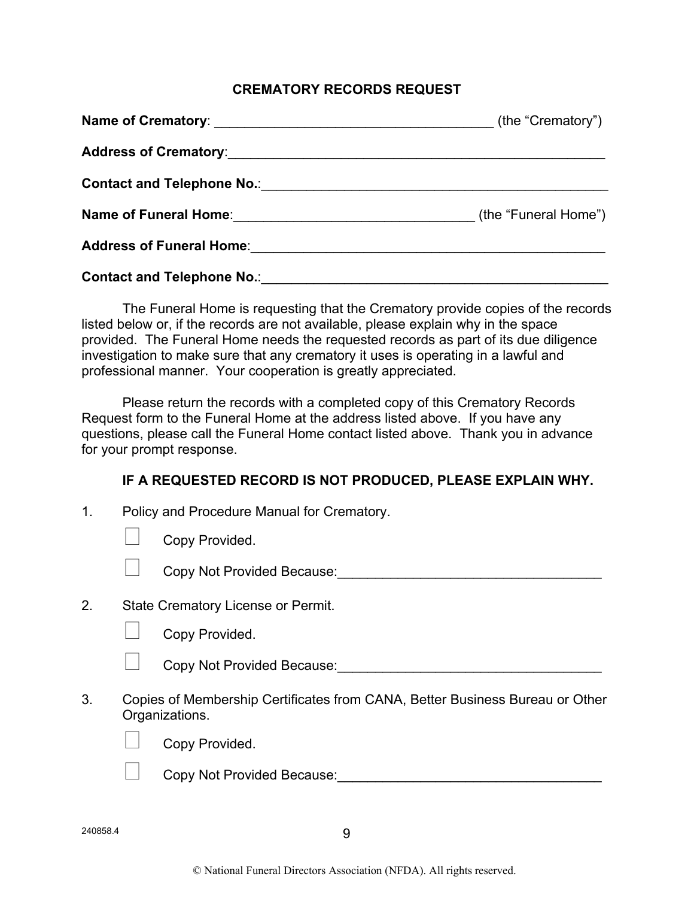### **CREMATORY RECORDS REQUEST**

| Address of Crematory: <u>contract and a set of contract and a set of crematory:</u>                                                                                                                                            |  |
|--------------------------------------------------------------------------------------------------------------------------------------------------------------------------------------------------------------------------------|--|
| Contact and Telephone No.: \\contact and Telephone No.: \\contact \\contact and Telephone No.: \\contact \\contact \\contact \\contact \\contact \\contact \\contact \\contact \\contact \\contact \\contact \\contact \\conta |  |
| <b>Name of Funeral Home:</b> (the "Funeral Home")                                                                                                                                                                              |  |
|                                                                                                                                                                                                                                |  |
| <b>Contact and Telephone No.: Example 20 Contact and Telephone No.:</b>                                                                                                                                                        |  |

The Funeral Home is requesting that the Crematory provide copies of the records listed below or, if the records are not available, please explain why in the space provided. The Funeral Home needs the requested records as part of its due diligence investigation to make sure that any crematory it uses is operating in a lawful and professional manner. Your cooperation is greatly appreciated.

Please return the records with a completed copy of this Crematory Records Request form to the Funeral Home at the address listed above. If you have any questions, please call the Funeral Home contact listed above. Thank you in advance for your prompt response.

### **IF A REQUESTED RECORD IS NOT PRODUCED, PLEASE EXPLAIN WHY.**

|    | Copy Provided.                                                               |
|----|------------------------------------------------------------------------------|
|    | Copy Not Provided Because:                                                   |
| 2. | State Crematory License or Permit.                                           |
|    | Copy Provided.                                                               |
|    | Copy Not Provided Because:                                                   |
| 3. | Copies of Membership Certificates from CANA, Better Business Bureau or Other |

3. Copies of Membership Certificates from CANA, Better Business Bureau or Other Organizations.



Copy Provided.

Copy Not Provided Because:  $\Box$ 

1. Policy and Procedure Manual for Crematory.

240858.4 9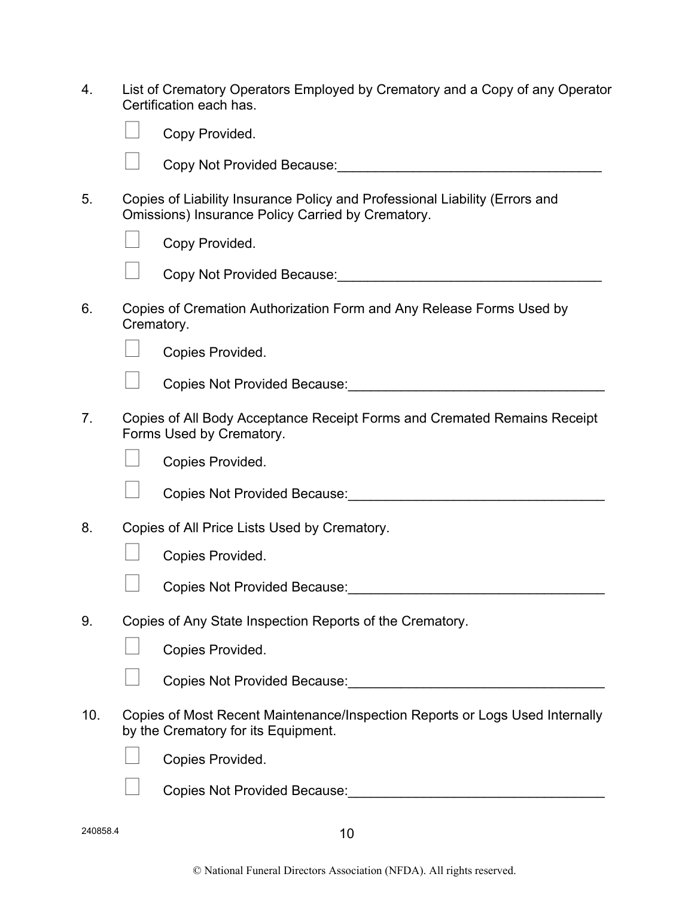| List of Crematory Operators Employed by Crematory and a Copy of any Operator |
|------------------------------------------------------------------------------|
| Certification each has.                                                      |

|     |            | Copy Provided.                                                                                                                          |
|-----|------------|-----------------------------------------------------------------------------------------------------------------------------------------|
|     |            | Copy Not Provided Because:<br><u>Copy Not Provided Because:</u>                                                                         |
| 5.  |            | Copies of Liability Insurance Policy and Professional Liability (Errors and<br><b>Omissions) Insurance Policy Carried by Crematory.</b> |
|     |            | Copy Provided.                                                                                                                          |
|     |            | Copy Not Provided Because:<br><u>Copy Not Provided Because:</u>                                                                         |
| 6.  | Crematory. | Copies of Cremation Authorization Form and Any Release Forms Used by                                                                    |
|     |            | Copies Provided.                                                                                                                        |
|     |            | Copies Not Provided Because: Notice of the Copies Not Provided Because:                                                                 |
| 7.  |            | Copies of All Body Acceptance Receipt Forms and Cremated Remains Receipt<br>Forms Used by Crematory.                                    |
|     |            | Copies Provided.                                                                                                                        |
|     |            | Copies Not Provided Because: Notified Apple 2014                                                                                        |
| 8.  |            | Copies of All Price Lists Used by Crematory.                                                                                            |
|     |            | Copies Provided.                                                                                                                        |
|     |            | Copies Not Provided Because: Notice of the Copies Not Provided Because:                                                                 |
| 9.  |            | Copies of Any State Inspection Reports of the Crematory.                                                                                |
|     |            | Copies Provided.                                                                                                                        |
|     |            | Copies Not Provided Because: 2008                                                                                                       |
| 10. |            | Copies of Most Recent Maintenance/Inspection Reports or Logs Used Internally<br>by the Crematory for its Equipment.                     |
|     |            | Copies Provided.                                                                                                                        |
|     |            | Copies Not Provided Because:                                                                                                            |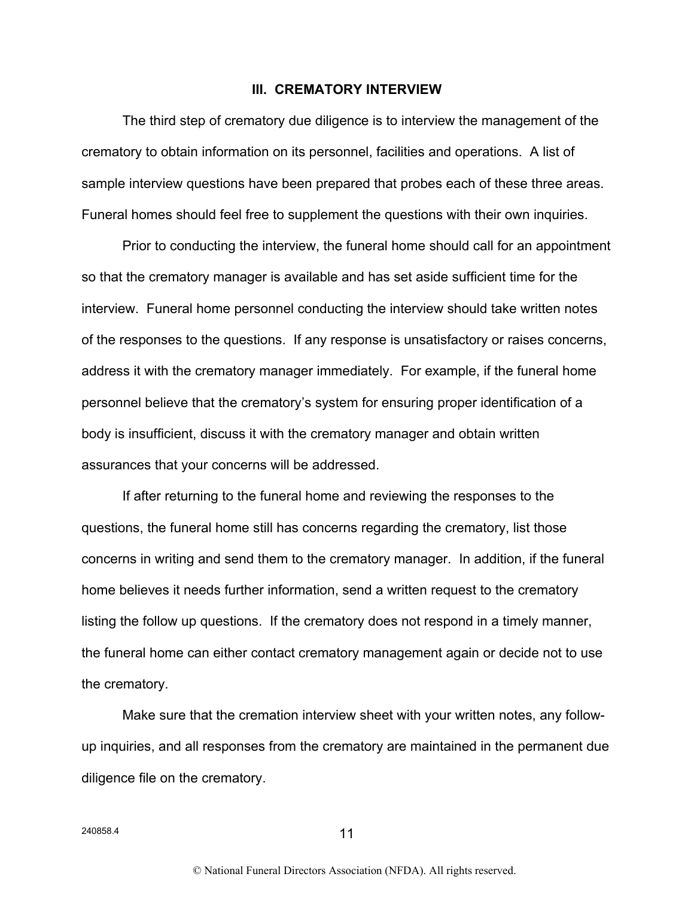#### **III. CREMATORY INTERVIEW**

The third step of crematory due diligence is to interview the management of the crematory to obtain information on its personnel, facilities and operations. A list of sample interview questions have been prepared that probes each of these three areas. Funeral homes should feel free to supplement the questions with their own inquiries.

Prior to conducting the interview, the funeral home should call for an appointment so that the crematory manager is available and has set aside sufficient time for the interview. Funeral home personnel conducting the interview should take written notes of the responses to the questions. If any response is unsatisfactory or raises concerns, address it with the crematory manager immediately. For example, if the funeral home personnel believe that the crematory's system for ensuring proper identification of a body is insufficient, discuss it with the crematory manager and obtain written assurances that your concerns will be addressed.

If after returning to the funeral home and reviewing the responses to the questions, the funeral home still has concerns regarding the crematory, list those concerns in writing and send them to the crematory manager. In addition, if the funeral home believes it needs further information, send a written request to the crematory listing the follow up questions. If the crematory does not respond in a timely manner, the funeral home can either contact crematory management again or decide not to use the crematory.

Make sure that the cremation interview sheet with your written notes, any followup inquiries, and all responses from the crematory are maintained in the permanent due diligence file on the crematory.

 $240858.4$  11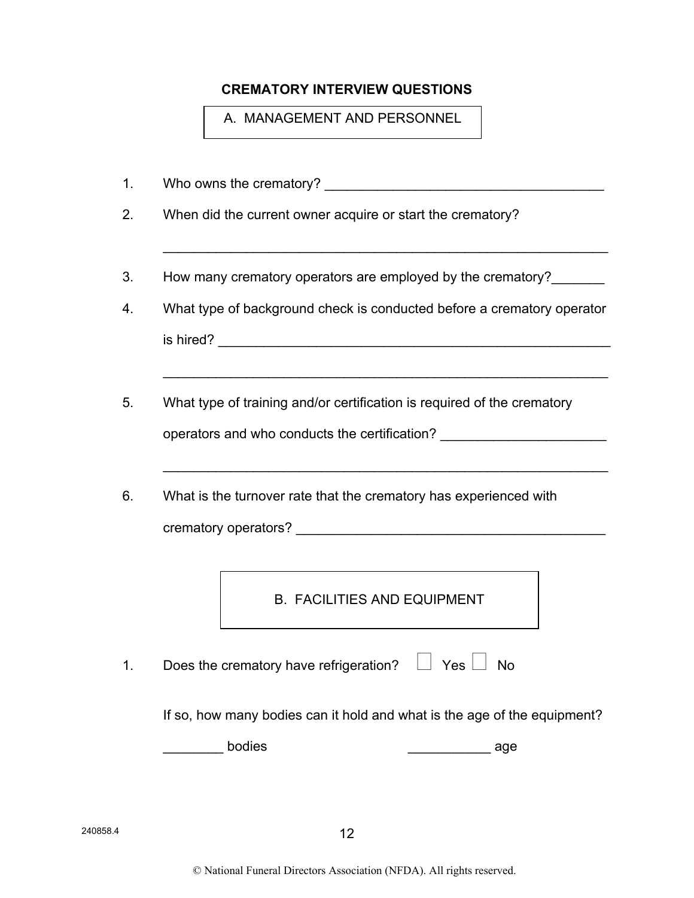## **CREMATORY INTERVIEW QUESTIONS**

A. MANAGEMENT AND PERSONNEL

- 1. Who owns the crematory?
- 2. When did the current owner acquire or start the crematory?
- 3. How many crematory operators are employed by the crematory?
- 4. What type of background check is conducted before a crematory operator  $\blacksquare$  is hired?

 $\mathcal{L}_\text{max} = \mathcal{L}_\text{max} = \mathcal{L}_\text{max} = \mathcal{L}_\text{max} = \mathcal{L}_\text{max} = \mathcal{L}_\text{max} = \mathcal{L}_\text{max} = \mathcal{L}_\text{max} = \mathcal{L}_\text{max} = \mathcal{L}_\text{max} = \mathcal{L}_\text{max} = \mathcal{L}_\text{max} = \mathcal{L}_\text{max} = \mathcal{L}_\text{max} = \mathcal{L}_\text{max} = \mathcal{L}_\text{max} = \mathcal{L}_\text{max} = \mathcal{L}_\text{max} = \mathcal{$ 

5. What type of training and/or certification is required of the crematory

operators and who conducts the certification? \_\_\_\_\_\_\_\_\_\_\_\_\_\_\_\_\_\_\_\_\_\_\_\_\_\_\_\_\_\_\_\_\_\_

 $\mathcal{L}_\text{max} = \mathcal{L}_\text{max} = \mathcal{L}_\text{max} = \mathcal{L}_\text{max} = \mathcal{L}_\text{max} = \mathcal{L}_\text{max} = \mathcal{L}_\text{max} = \mathcal{L}_\text{max} = \mathcal{L}_\text{max} = \mathcal{L}_\text{max} = \mathcal{L}_\text{max} = \mathcal{L}_\text{max} = \mathcal{L}_\text{max} = \mathcal{L}_\text{max} = \mathcal{L}_\text{max} = \mathcal{L}_\text{max} = \mathcal{L}_\text{max} = \mathcal{L}_\text{max} = \mathcal{$ 

 $\mathcal{L}_\text{max} = \mathcal{L}_\text{max} = \mathcal{L}_\text{max} = \mathcal{L}_\text{max} = \mathcal{L}_\text{max} = \mathcal{L}_\text{max} = \mathcal{L}_\text{max} = \mathcal{L}_\text{max} = \mathcal{L}_\text{max} = \mathcal{L}_\text{max} = \mathcal{L}_\text{max} = \mathcal{L}_\text{max} = \mathcal{L}_\text{max} = \mathcal{L}_\text{max} = \mathcal{L}_\text{max} = \mathcal{L}_\text{max} = \mathcal{L}_\text{max} = \mathcal{L}_\text{max} = \mathcal{$ 

6. What is the turnover rate that the crematory has experienced with

crematory operators? **Example 20** 

B. FACILITIES AND EQUIPMENT

1. Does the crematory have refrigeration?  $\Box$  Yes  $\Box$  No

If so, how many bodies can it hold and what is the age of the equipment?

dies and bodies and bodies and bodies and bodies and bodies and bodies and bodies and bodies are also bodies and bodies and bodies are also bodies and bodies are also bodies and bodies are also bodies and bodies are also b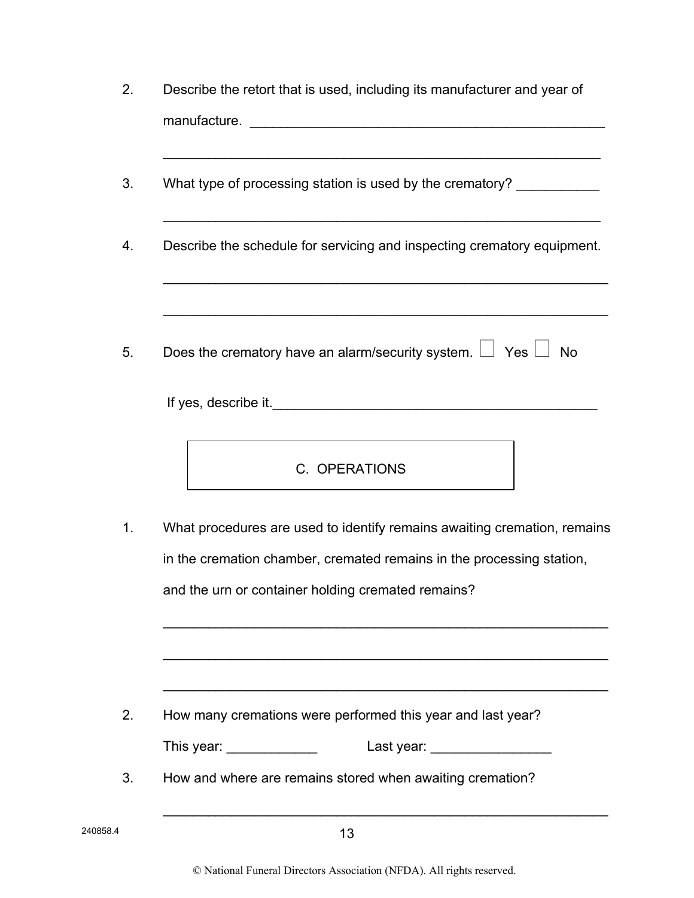| 2.       | Describe the retort that is used, including its manufacturer and year of                                                               |
|----------|----------------------------------------------------------------------------------------------------------------------------------------|
|          |                                                                                                                                        |
| 3.       | What type of processing station is used by the crematory? ___________                                                                  |
| 4.       | Describe the schedule for servicing and inspecting crematory equipment.<br><u> 1989 - Johann Stoff, amerikansk politiker (d. 1989)</u> |
| 5.       | Does the crematory have an alarm/security system. $\Box$ Yes $\Box$<br><b>No</b>                                                       |
|          |                                                                                                                                        |
|          | <u> 1989 - Johann Barn, fransk politik (f. 1989)</u><br>C. OPERATIONS                                                                  |
| 1.       | What procedures are used to identify remains awaiting cremation, remains                                                               |
|          | in the cremation chamber, cremated remains in the processing station,                                                                  |
|          | and the urn or container holding cremated remains?                                                                                     |
|          |                                                                                                                                        |
| 2.       | How many cremations were performed this year and last year?                                                                            |
|          | This year: ______________<br>Last year: ___________________                                                                            |
| 3.       | How and where are remains stored when awaiting cremation?                                                                              |
| 240858.4 | 13                                                                                                                                     |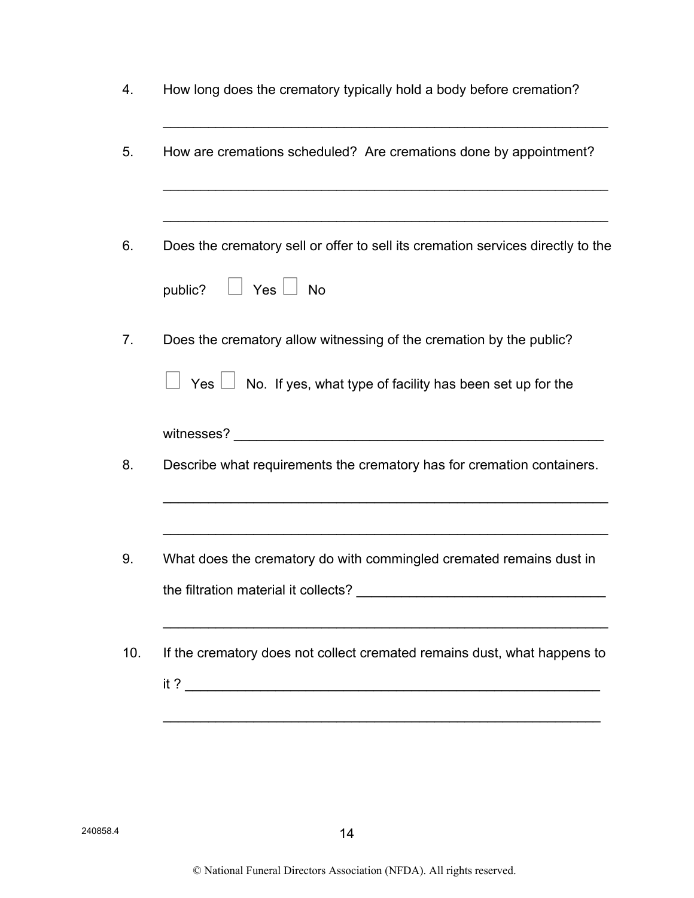| How long does the crematory typically hold a body before cremation?             |
|---------------------------------------------------------------------------------|
| How are cremations scheduled? Are cremations done by appointment?               |
|                                                                                 |
| Does the crematory sell or offer to sell its cremation services directly to the |
| public? U Yes U No                                                              |
| Does the crematory allow witnessing of the cremation by the public?             |
| Yes $\Box$ No. If yes, what type of facility has been set up for the            |
|                                                                                 |
| Describe what requirements the crematory has for cremation containers.          |
|                                                                                 |
| What does the crematory do with commingled cremated remains dust in             |
|                                                                                 |
| If the crematory does not collect cremated remains dust, what happens to        |
|                                                                                 |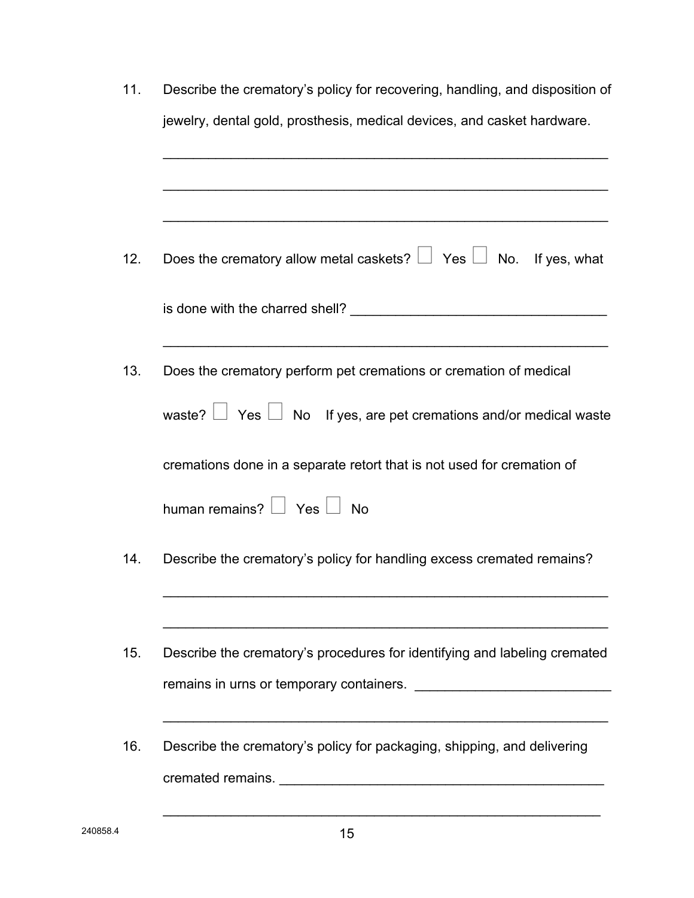| 11. | Describe the crematory's policy for recovering, handling, and disposition of |
|-----|------------------------------------------------------------------------------|
|     | jewelry, dental gold, prosthesis, medical devices, and casket hardware.      |
|     |                                                                              |
|     |                                                                              |
|     |                                                                              |
| 12. | Does the crematory allow metal caskets? $\Box$ Yes $\Box$ No. If yes, what   |
|     |                                                                              |
|     |                                                                              |
| 13. | Does the crematory perform pet cremations or cremation of medical            |
|     | waste? $\Box$ Yes $\Box$ No If yes, are pet cremations and/or medical waste  |
|     | cremations done in a separate retort that is not used for cremation of       |
|     | human remains? □ Yes □ No                                                    |
| 14. | Describe the crematory's policy for handling excess cremated remains?        |
|     |                                                                              |
| 15. | Describe the crematory's procedures for identifying and labeling cremated    |
|     |                                                                              |
|     |                                                                              |
| 16. | Describe the crematory's policy for packaging, shipping, and delivering      |
|     |                                                                              |
|     |                                                                              |

 $\mathcal{L}_\text{max}$  , and the contract of the contract of the contract of the contract of the contract of the contract of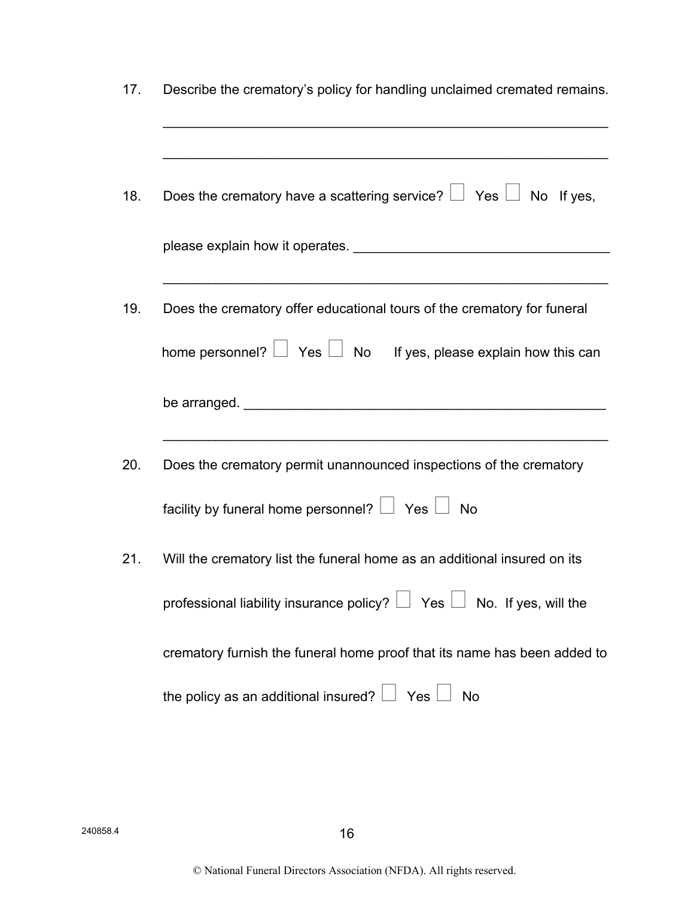| 17. | Describe the crematory's policy for handling unclaimed cremated remains.                                                                                                                                                       |
|-----|--------------------------------------------------------------------------------------------------------------------------------------------------------------------------------------------------------------------------------|
| 18. | Does the crematory have a scattering service? $\Box$ Yes $\Box$ No If yes,                                                                                                                                                     |
|     | please explain how it operates. The same state of the state of the state of the state of the state of the state of the state of the state of the state of the state of the state of the state of the state of the state of the |
| 19. | Does the crematory offer educational tours of the crematory for funeral                                                                                                                                                        |
|     | home personnel? $\Box$ Yes $\Box$ No If yes, please explain how this can                                                                                                                                                       |
|     |                                                                                                                                                                                                                                |
| 20. | Does the crematory permit unannounced inspections of the crematory                                                                                                                                                             |
|     | facility by funeral home personnel? $\Box$ Yes $\Box$ No                                                                                                                                                                       |
| 21. | Will the crematory list the funeral home as an additional insured on its                                                                                                                                                       |
|     | professional liability insurance policy? $\Box$ Yes $\Box$ No. If yes, will the                                                                                                                                                |
|     | crematory furnish the funeral home proof that its name has been added to                                                                                                                                                       |
|     | the policy as an additional insured? $\Box$ Yes $\Box$<br><b>No</b>                                                                                                                                                            |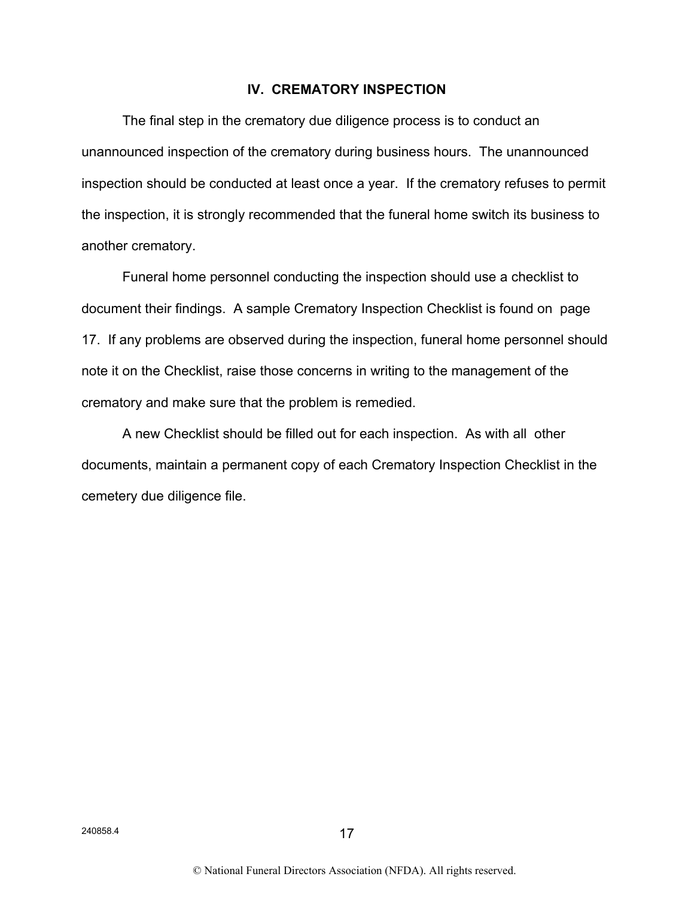### **IV. CREMATORY INSPECTION**

The final step in the crematory due diligence process is to conduct an unannounced inspection of the crematory during business hours. The unannounced inspection should be conducted at least once a year. If the crematory refuses to permit the inspection, it is strongly recommended that the funeral home switch its business to another crematory.

Funeral home personnel conducting the inspection should use a checklist to document their findings. A sample Crematory Inspection Checklist is found on page 17. If any problems are observed during the inspection, funeral home personnel should note it on the Checklist, raise those concerns in writing to the management of the crematory and make sure that the problem is remedied.

A new Checklist should be filled out for each inspection. As with all other documents, maintain a permanent copy of each Crematory Inspection Checklist in the cemetery due diligence file.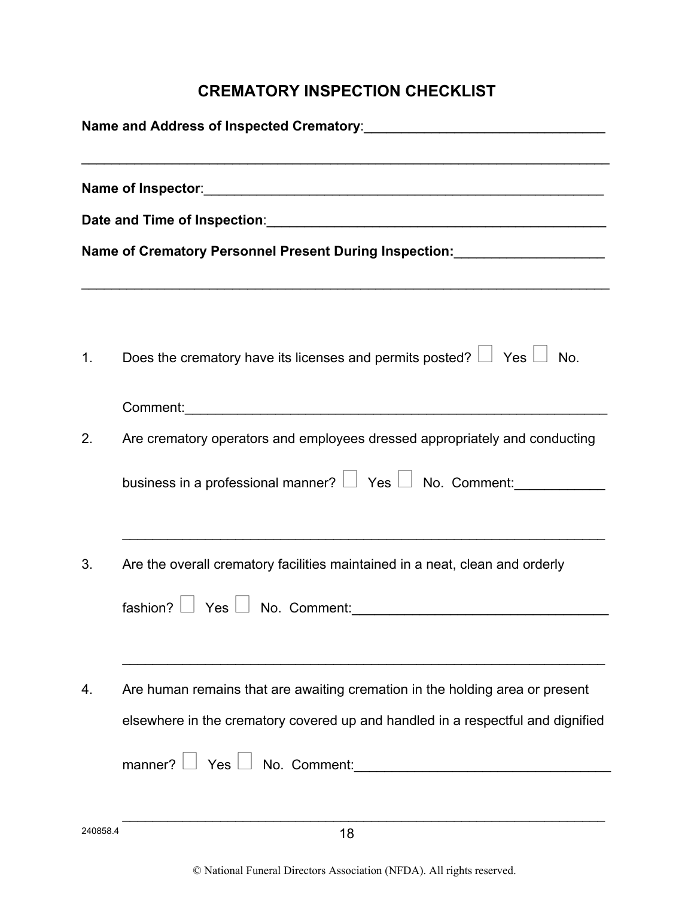# **CREMATORY INSPECTION CHECKLIST**

|    | Date and Time of Inspection: Date and Time of Inspection:                                                     |  |  |
|----|---------------------------------------------------------------------------------------------------------------|--|--|
|    | Name of Crematory Personnel Present During Inspection: Mame of Crematory Personnel Present During Inspection: |  |  |
|    |                                                                                                               |  |  |
| 1. | Does the crematory have its licenses and permits posted? $\Box$ Yes $\Box$ No.                                |  |  |
|    |                                                                                                               |  |  |
| 2. | Are crematory operators and employees dressed appropriately and conducting                                    |  |  |
|    | business in a professional manner? $\Box$ Yes $\Box$ No. Comment:                                             |  |  |
| 3. | Are the overall crematory facilities maintained in a neat, clean and orderly                                  |  |  |
|    |                                                                                                               |  |  |
| 4. | Are human remains that are awaiting cremation in the holding area or present                                  |  |  |
|    | elsewhere in the crematory covered up and handled in a respectful and dignified                               |  |  |
|    |                                                                                                               |  |  |
|    |                                                                                                               |  |  |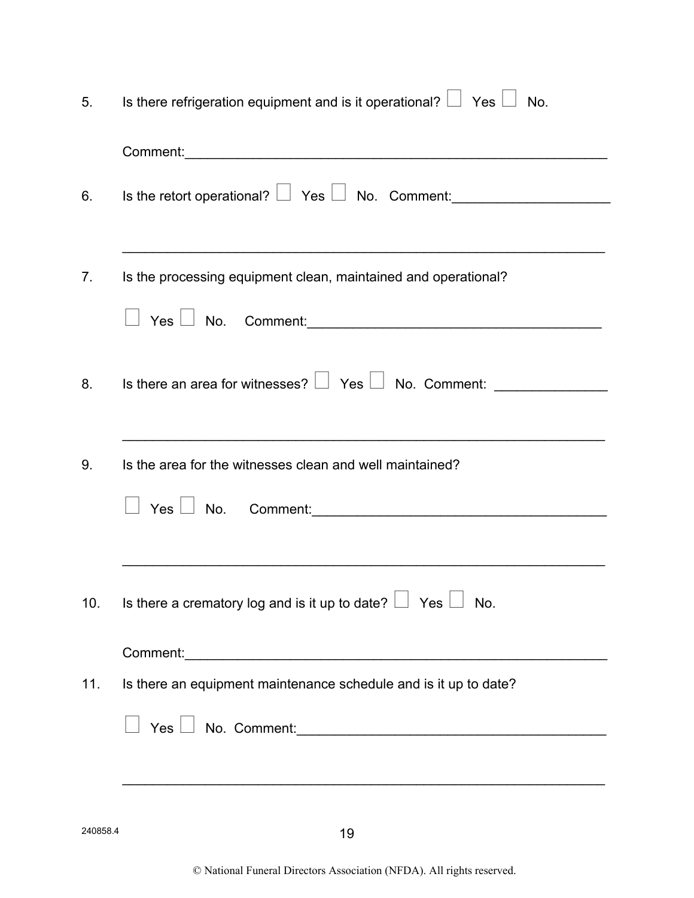| 5.  | Is there refrigeration equipment and is it operational? $\Box$ Yes $\Box$ No.         |
|-----|---------------------------------------------------------------------------------------|
|     |                                                                                       |
| 6.  | Is the retort operational? $\Box$ Yes $\Box$ No. Comment:                             |
| 7.  | Is the processing equipment clean, maintained and operational?                        |
|     |                                                                                       |
| 8.  | Is there an area for witnesses? $\Box$ Yes $\Box$ No. Comment: ______________________ |
| 9.  | Is the area for the witnesses clean and well maintained?                              |
|     | $Yes \perp No.$ Comment: $\_\_\_\_\_\_\_\_\_\_\_\_\_\_\_\_$                           |
| 10. | Is there a crematory log and is it up to date? $\Box$ Yes $\Box$ No.                  |
|     |                                                                                       |
| 11. | Is there an equipment maintenance schedule and is it up to date?                      |
|     | $Yes \perp No.$ Comment: $\_\_\_\_\_\_\_\_\_\_\_\_\_$                                 |
|     |                                                                                       |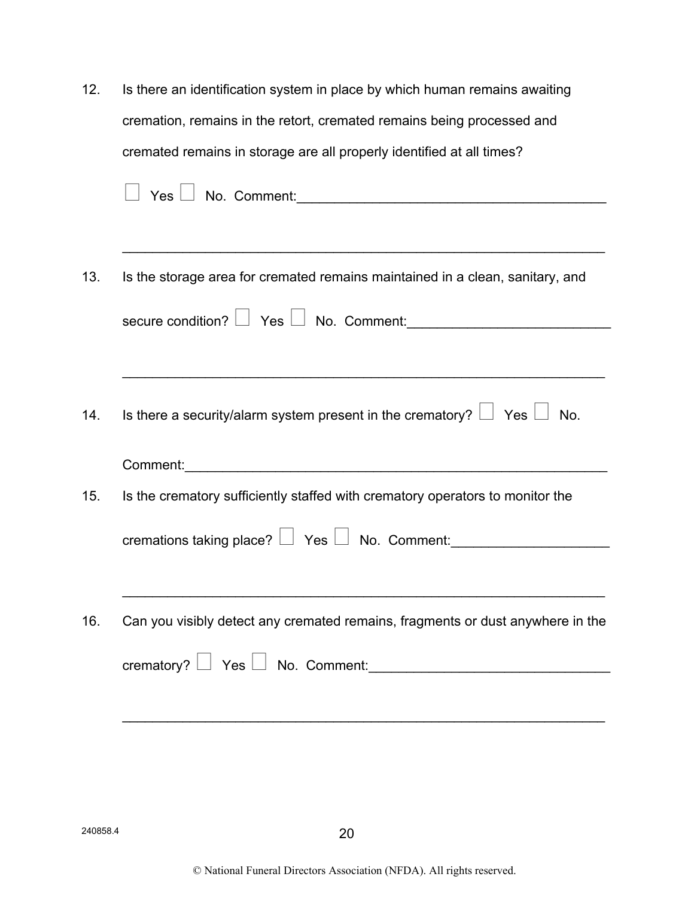| 12. | Is there an identification system in place by which human remains awaiting       |
|-----|----------------------------------------------------------------------------------|
|     | cremation, remains in the retort, cremated remains being processed and           |
|     | cremated remains in storage are all properly identified at all times?            |
|     |                                                                                  |
|     |                                                                                  |
| 13. | Is the storage area for cremated remains maintained in a clean, sanitary, and    |
|     |                                                                                  |
|     |                                                                                  |
| 14. | Is there a security/alarm system present in the crematory? $\Box$ Yes $\Box$ No. |
|     |                                                                                  |
| 15. | Is the crematory sufficiently staffed with crematory operators to monitor the    |
|     | cremations taking place? $\Box$ Yes $\Box$ No. Comment:                          |
|     |                                                                                  |
| 16. | Can you visibly detect any cremated remains, fragments or dust anywhere in the   |
|     | crematory? Ves No. Comment:                                                      |
|     |                                                                                  |
|     |                                                                                  |